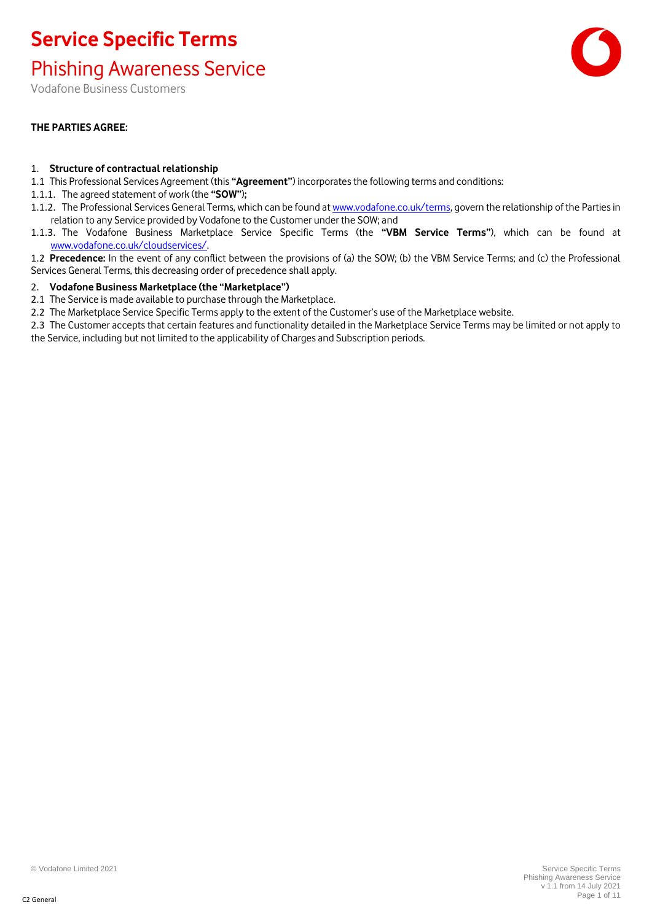Phishing Awareness Service

Vodafone Business Customers

#### **THE PARTIES AGREE:**

#### 1. **Structure of contractual relationship**

- 1.1 This Professional Services Agreement (this **"Agreement"**) incorporates the following terms and conditions:
- 1.1.1. The agreed statement of work (the **"SOW"**)**;**
- 1.1.2. The Professional Services General Terms, which can be found at [www.vodafone.co.uk/terms,](http://www.vodafone.co.uk/terms) govern the relationship of the Parties in relation to any Service provided by Vodafone to the Customer under the SOW; and
- 1.1.3. The Vodafone Business Marketplace Service Specific Terms (the **"VBM Service Terms"**), which can be found at [www.vodafone.co.uk/cloudservices/.](http://www.vodafone.co.uk/cloudservices/)
- 1.2 **Precedence:** In the event of any conflict between the provisions of (a) the SOW; (b) the VBM Service Terms; and (c) the Professional Services General Terms, this decreasing order of precedence shall apply.

#### 2. **Vodafone Business Marketplace (the "Marketplace")**

2.1 The Service is made available to purchase through the Marketplace.

2.2 The Marketplace Service Specific Terms apply to the extent of the Customer's use of the Marketplace website.

2.3 The Customer accepts that certain features and functionality detailed in the Marketplace Service Terms may be limited or not apply to the Service, including but not limited to the applicability of Charges and Subscription periods.

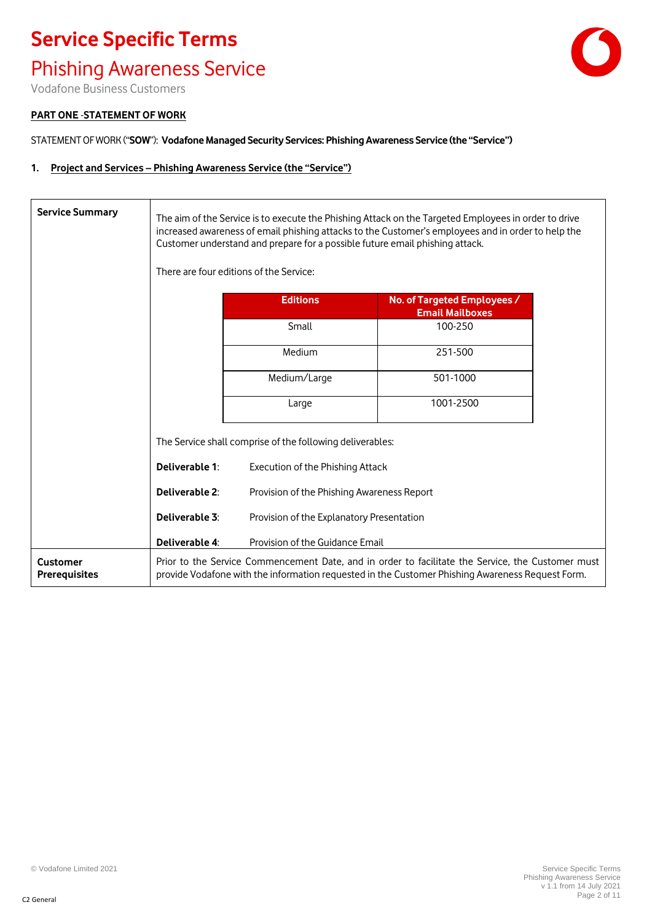#### Phishing Awareness Service



Vodafone Business Customers

#### **PART ONE** -**STATEMENT OF WORK**

STATEMENT OF WORK ("**SOW**"): **Vodafone Managed Security Services: Phishing Awareness Service (the "Service")**

#### **1. Project and Services – Phishing Awareness Service (the "Service")**

| <b>Service Summary</b>                  | The aim of the Service is to execute the Phishing Attack on the Targeted Employees in order to drive<br>increased awareness of email phishing attacks to the Customer's employees and in order to help the<br>Customer understand and prepare for a possible future email phishing attack.<br>There are four editions of the Service: |                                                                                                                                                                                                       |           |
|-----------------------------------------|---------------------------------------------------------------------------------------------------------------------------------------------------------------------------------------------------------------------------------------------------------------------------------------------------------------------------------------|-------------------------------------------------------------------------------------------------------------------------------------------------------------------------------------------------------|-----------|
|                                         | <b>Editions</b><br>No. of Targeted Employees /<br><b>Email Mailboxes</b>                                                                                                                                                                                                                                                              |                                                                                                                                                                                                       |           |
|                                         |                                                                                                                                                                                                                                                                                                                                       | Small                                                                                                                                                                                                 | 100-250   |
|                                         |                                                                                                                                                                                                                                                                                                                                       | Medium                                                                                                                                                                                                | 251-500   |
|                                         |                                                                                                                                                                                                                                                                                                                                       | Medium/Large                                                                                                                                                                                          | 501-1000  |
|                                         |                                                                                                                                                                                                                                                                                                                                       | Large                                                                                                                                                                                                 | 1001-2500 |
|                                         | The Service shall comprise of the following deliverables:                                                                                                                                                                                                                                                                             |                                                                                                                                                                                                       |           |
|                                         | Deliverable 1:<br>Execution of the Phishing Attack                                                                                                                                                                                                                                                                                    |                                                                                                                                                                                                       |           |
|                                         | Deliverable 2:                                                                                                                                                                                                                                                                                                                        | Provision of the Phishing Awareness Report                                                                                                                                                            |           |
|                                         | Deliverable 3:                                                                                                                                                                                                                                                                                                                        | Provision of the Explanatory Presentation                                                                                                                                                             |           |
|                                         | Deliverable 4:                                                                                                                                                                                                                                                                                                                        | Provision of the Guidance Email                                                                                                                                                                       |           |
| <b>Customer</b><br><b>Prerequisites</b> |                                                                                                                                                                                                                                                                                                                                       | Prior to the Service Commencement Date, and in order to facilitate the Service, the Customer must<br>provide Vodafone with the information requested in the Customer Phishing Awareness Request Form. |           |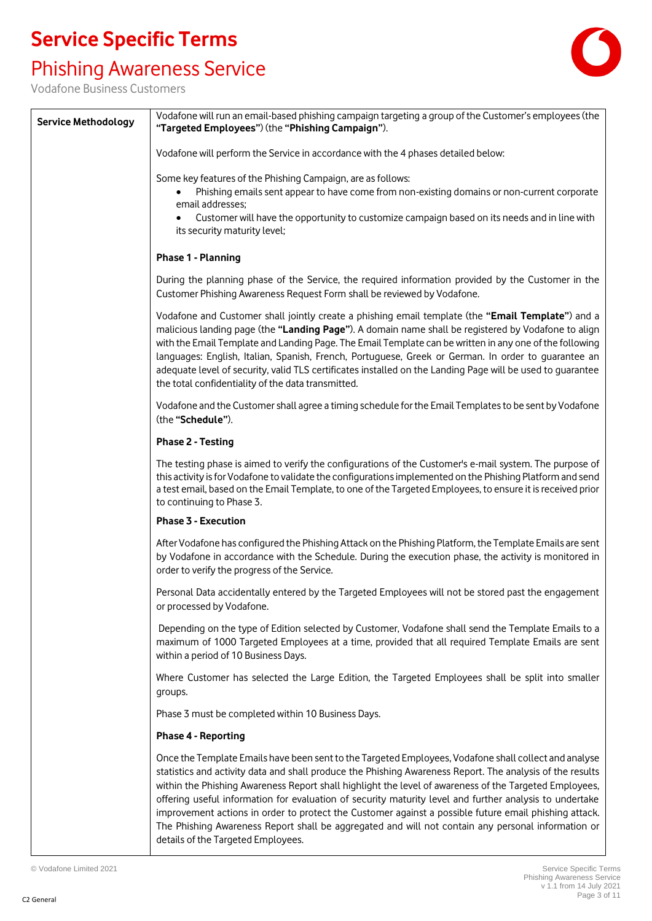### Phishing Awareness Service



| <b>Service Methodology</b>                                                                                                                                                                                                                                                                                     | Vodafone will run an email-based phishing campaign targeting a group of the Customer's employees (the<br>"Targeted Employees") (the "Phishing Campaign").                                                                                                                                                                                                                                                                                                                                                                                                                                                                                                                                    |  |  |
|----------------------------------------------------------------------------------------------------------------------------------------------------------------------------------------------------------------------------------------------------------------------------------------------------------------|----------------------------------------------------------------------------------------------------------------------------------------------------------------------------------------------------------------------------------------------------------------------------------------------------------------------------------------------------------------------------------------------------------------------------------------------------------------------------------------------------------------------------------------------------------------------------------------------------------------------------------------------------------------------------------------------|--|--|
|                                                                                                                                                                                                                                                                                                                | Vodafone will perform the Service in accordance with the 4 phases detailed below:                                                                                                                                                                                                                                                                                                                                                                                                                                                                                                                                                                                                            |  |  |
| Some key features of the Phishing Campaign, are as follows:<br>Phishing emails sent appear to have come from non-existing domains or non-current corporate<br>email addresses;<br>Customer will have the opportunity to customize campaign based on its needs and in line with<br>its security maturity level; |                                                                                                                                                                                                                                                                                                                                                                                                                                                                                                                                                                                                                                                                                              |  |  |
|                                                                                                                                                                                                                                                                                                                | Phase 1 - Planning                                                                                                                                                                                                                                                                                                                                                                                                                                                                                                                                                                                                                                                                           |  |  |
|                                                                                                                                                                                                                                                                                                                | During the planning phase of the Service, the required information provided by the Customer in the<br>Customer Phishing Awareness Request Form shall be reviewed by Vodafone.                                                                                                                                                                                                                                                                                                                                                                                                                                                                                                                |  |  |
|                                                                                                                                                                                                                                                                                                                | Vodafone and Customer shall jointly create a phishing email template (the "Email Template") and a<br>malicious landing page (the "Landing Page"). A domain name shall be registered by Vodafone to align<br>with the Email Template and Landing Page. The Email Template can be written in any one of the following<br>languages: English, Italian, Spanish, French, Portuguese, Greek or German. In order to guarantee an<br>adequate level of security, valid TLS certificates installed on the Landing Page will be used to quarantee<br>the total confidentiality of the data transmitted.                                                                                               |  |  |
|                                                                                                                                                                                                                                                                                                                | Vodafone and the Customer shall agree a timing schedule for the Email Templates to be sent by Vodafone<br>(the "Schedule").                                                                                                                                                                                                                                                                                                                                                                                                                                                                                                                                                                  |  |  |
|                                                                                                                                                                                                                                                                                                                | <b>Phase 2 - Testing</b>                                                                                                                                                                                                                                                                                                                                                                                                                                                                                                                                                                                                                                                                     |  |  |
|                                                                                                                                                                                                                                                                                                                | The testing phase is aimed to verify the configurations of the Customer's e-mail system. The purpose of<br>this activity is for Vodafone to validate the configurations implemented on the Phishing Platform and send<br>a test email, based on the Email Template, to one of the Targeted Employees, to ensure it is received prior<br>to continuing to Phase 3.                                                                                                                                                                                                                                                                                                                            |  |  |
|                                                                                                                                                                                                                                                                                                                | Phase 3 - Execution                                                                                                                                                                                                                                                                                                                                                                                                                                                                                                                                                                                                                                                                          |  |  |
|                                                                                                                                                                                                                                                                                                                | After Vodafone has configured the Phishing Attack on the Phishing Platform, the Template Emails are sent<br>by Vodafone in accordance with the Schedule. During the execution phase, the activity is monitored in<br>order to verify the progress of the Service.                                                                                                                                                                                                                                                                                                                                                                                                                            |  |  |
|                                                                                                                                                                                                                                                                                                                | Personal Data accidentally entered by the Targeted Employees will not be stored past the engagement<br>or processed by Vodafone.                                                                                                                                                                                                                                                                                                                                                                                                                                                                                                                                                             |  |  |
|                                                                                                                                                                                                                                                                                                                | Depending on the type of Edition selected by Customer, Vodafone shall send the Template Emails to a<br>maximum of 1000 Targeted Employees at a time, provided that all required Template Emails are sent<br>within a period of 10 Business Days.                                                                                                                                                                                                                                                                                                                                                                                                                                             |  |  |
|                                                                                                                                                                                                                                                                                                                | Where Customer has selected the Large Edition, the Targeted Employees shall be split into smaller<br>groups.                                                                                                                                                                                                                                                                                                                                                                                                                                                                                                                                                                                 |  |  |
|                                                                                                                                                                                                                                                                                                                | Phase 3 must be completed within 10 Business Days.                                                                                                                                                                                                                                                                                                                                                                                                                                                                                                                                                                                                                                           |  |  |
|                                                                                                                                                                                                                                                                                                                | <b>Phase 4 - Reporting</b>                                                                                                                                                                                                                                                                                                                                                                                                                                                                                                                                                                                                                                                                   |  |  |
|                                                                                                                                                                                                                                                                                                                | Once the Template Emails have been sent to the Targeted Employees, Vodafone shall collect and analyse<br>statistics and activity data and shall produce the Phishing Awareness Report. The analysis of the results<br>within the Phishing Awareness Report shall highlight the level of awareness of the Targeted Employees,<br>offering useful information for evaluation of security maturity level and further analysis to undertake<br>improvement actions in order to protect the Customer against a possible future email phishing attack.<br>The Phishing Awareness Report shall be aggregated and will not contain any personal information or<br>details of the Targeted Employees. |  |  |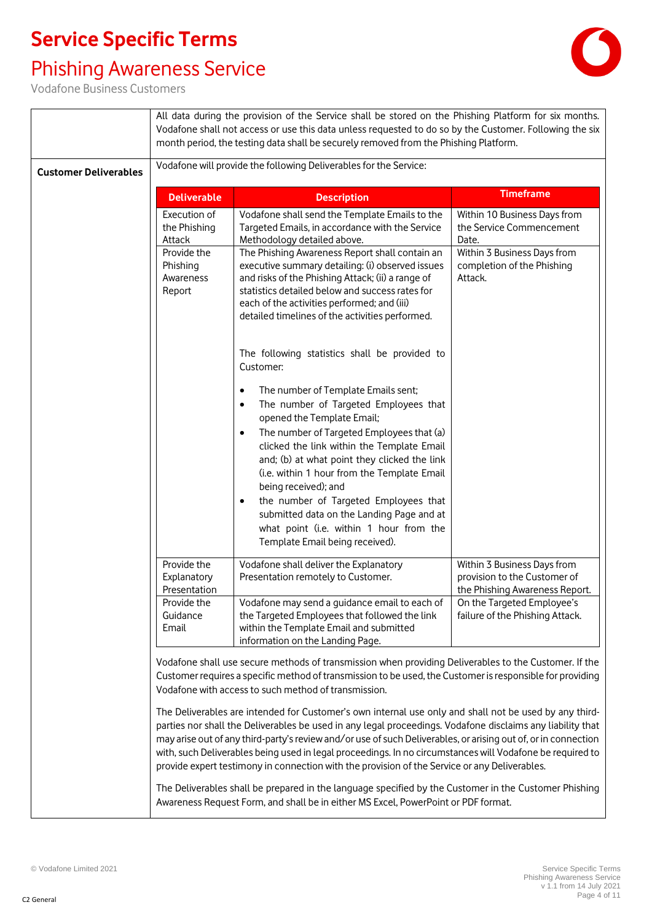### Phishing Awareness Service



|                              |                                                                                | All data during the provision of the Service shall be stored on the Phishing Platform for six months.<br>Vodafone shall not access or use this data unless requested to do so by the Customer. Following the six<br>month period, the testing data shall be securely removed from the Phishing Platform.                                                                                                                                                                                                                                                                                                                                                                                                                                                                                                                                                                                                                                                                        |                                                                                                                                                                |
|------------------------------|--------------------------------------------------------------------------------|---------------------------------------------------------------------------------------------------------------------------------------------------------------------------------------------------------------------------------------------------------------------------------------------------------------------------------------------------------------------------------------------------------------------------------------------------------------------------------------------------------------------------------------------------------------------------------------------------------------------------------------------------------------------------------------------------------------------------------------------------------------------------------------------------------------------------------------------------------------------------------------------------------------------------------------------------------------------------------|----------------------------------------------------------------------------------------------------------------------------------------------------------------|
| <b>Customer Deliverables</b> | Vodafone will provide the following Deliverables for the Service:              |                                                                                                                                                                                                                                                                                                                                                                                                                                                                                                                                                                                                                                                                                                                                                                                                                                                                                                                                                                                 |                                                                                                                                                                |
|                              | <b>Deliverable</b>                                                             | <b>Description</b>                                                                                                                                                                                                                                                                                                                                                                                                                                                                                                                                                                                                                                                                                                                                                                                                                                                                                                                                                              | <b>Timeframe</b>                                                                                                                                               |
|                              | Execution of<br>the Phishing<br>Attack                                         | Vodafone shall send the Template Emails to the<br>Targeted Emails, in accordance with the Service<br>Methodology detailed above.                                                                                                                                                                                                                                                                                                                                                                                                                                                                                                                                                                                                                                                                                                                                                                                                                                                | Within 10 Business Days from<br>the Service Commencement<br>Date.                                                                                              |
|                              | Provide the<br>Phishing<br>Awareness<br>Report                                 | The Phishing Awareness Report shall contain an<br>executive summary detailing: (i) observed issues<br>and risks of the Phishing Attack; (ii) a range of<br>statistics detailed below and success rates for<br>each of the activities performed; and (iii)<br>detailed timelines of the activities performed.<br>The following statistics shall be provided to                                                                                                                                                                                                                                                                                                                                                                                                                                                                                                                                                                                                                   | Within 3 Business Days from<br>completion of the Phishing<br>Attack.                                                                                           |
|                              |                                                                                | Customer:<br>The number of Template Emails sent;<br>٠<br>The number of Targeted Employees that<br>٠<br>opened the Template Email;<br>The number of Targeted Employees that (a)<br>clicked the link within the Template Email<br>and; (b) at what point they clicked the link<br>(i.e. within 1 hour from the Template Email<br>being received); and<br>the number of Targeted Employees that<br>٠<br>submitted data on the Landing Page and at<br>what point (i.e. within 1 hour from the<br>Template Email being received).                                                                                                                                                                                                                                                                                                                                                                                                                                                    |                                                                                                                                                                |
|                              | Provide the<br>Explanatory<br>Presentation<br>Provide the<br>Guidance<br>Email | Vodafone shall deliver the Explanatory<br>Presentation remotely to Customer.<br>Vodafone may send a guidance email to each of<br>the Targeted Employees that followed the link<br>within the Template Email and submitted                                                                                                                                                                                                                                                                                                                                                                                                                                                                                                                                                                                                                                                                                                                                                       | Within 3 Business Days from<br>provision to the Customer of<br>the Phishing Awareness Report.<br>On the Targeted Employee's<br>failure of the Phishing Attack. |
|                              |                                                                                | information on the Landing Page.<br>Vodafone shall use secure methods of transmission when providing Deliverables to the Customer. If the<br>Customer requires a specific method of transmission to be used, the Customer is responsible for providing<br>Vodafone with access to such method of transmission.<br>The Deliverables are intended for Customer's own internal use only and shall not be used by any third-<br>parties nor shall the Deliverables be used in any legal proceedings. Vodafone disclaims any liability that<br>may arise out of any third-party's review and/or use of such Deliverables, or arising out of, or in connection<br>with, such Deliverables being used in legal proceedings. In no circumstances will Vodafone be required to<br>provide expert testimony in connection with the provision of the Service or any Deliverables.<br>The Deliverables shall be prepared in the language specified by the Customer in the Customer Phishing |                                                                                                                                                                |
|                              |                                                                                | Awareness Request Form, and shall be in either MS Excel, PowerPoint or PDF format.                                                                                                                                                                                                                                                                                                                                                                                                                                                                                                                                                                                                                                                                                                                                                                                                                                                                                              |                                                                                                                                                                |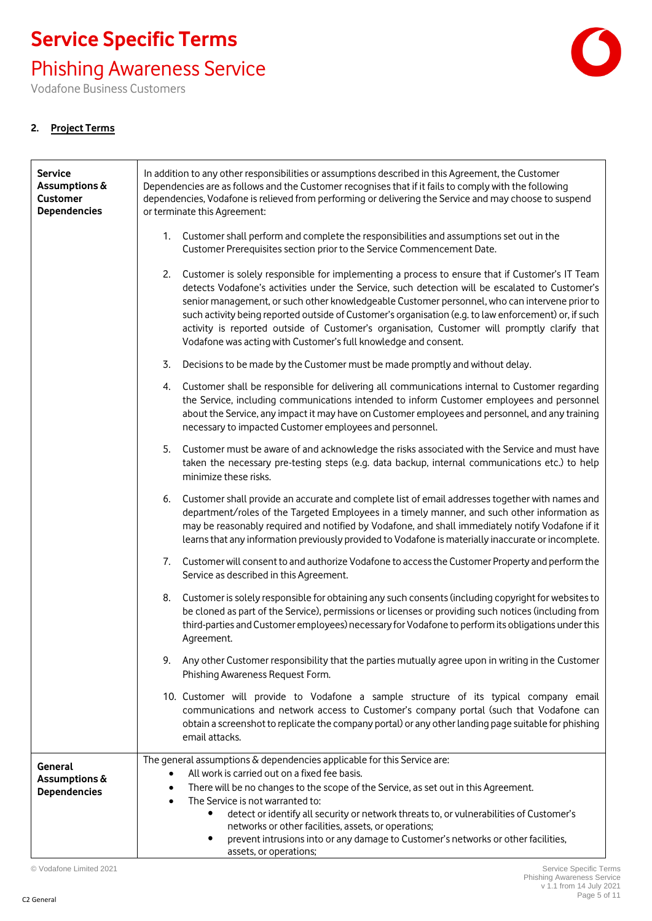Phishing Awareness Service

Vodafone Business Customers

#### **2. Project Terms**

| <b>Service</b><br>Assumptions &<br><b>Customer</b><br><b>Dependencies</b> | In addition to any other responsibilities or assumptions described in this Agreement, the Customer<br>Dependencies are as follows and the Customer recognises that if it fails to comply with the following<br>dependencies, Vodafone is relieved from performing or delivering the Service and may choose to suspend<br>or terminate this Agreement:                                                                                                                                                                                                                                |  |  |
|---------------------------------------------------------------------------|--------------------------------------------------------------------------------------------------------------------------------------------------------------------------------------------------------------------------------------------------------------------------------------------------------------------------------------------------------------------------------------------------------------------------------------------------------------------------------------------------------------------------------------------------------------------------------------|--|--|
|                                                                           | Customer shall perform and complete the responsibilities and assumptions set out in the<br>1.<br>Customer Prerequisites section prior to the Service Commencement Date.                                                                                                                                                                                                                                                                                                                                                                                                              |  |  |
|                                                                           | 2.<br>Customer is solely responsible for implementing a process to ensure that if Customer's IT Team<br>detects Vodafone's activities under the Service, such detection will be escalated to Customer's<br>senior management, or such other knowledgeable Customer personnel, who can intervene prior to<br>such activity being reported outside of Customer's organisation (e.g. to law enforcement) or, if such<br>activity is reported outside of Customer's organisation, Customer will promptly clarify that<br>Vodafone was acting with Customer's full knowledge and consent. |  |  |
|                                                                           | 3.<br>Decisions to be made by the Customer must be made promptly and without delay.                                                                                                                                                                                                                                                                                                                                                                                                                                                                                                  |  |  |
|                                                                           | 4. Customer shall be responsible for delivering all communications internal to Customer regarding<br>the Service, including communications intended to inform Customer employees and personnel<br>about the Service, any impact it may have on Customer employees and personnel, and any training<br>necessary to impacted Customer employees and personnel.                                                                                                                                                                                                                         |  |  |
|                                                                           | 5.<br>Customer must be aware of and acknowledge the risks associated with the Service and must have<br>taken the necessary pre-testing steps (e.g. data backup, internal communications etc.) to help<br>minimize these risks.                                                                                                                                                                                                                                                                                                                                                       |  |  |
|                                                                           | 6.<br>Customer shall provide an accurate and complete list of email addresses together with names and<br>department/roles of the Targeted Employees in a timely manner, and such other information as<br>may be reasonably required and notified by Vodafone, and shall immediately notify Vodafone if it<br>learns that any information previously provided to Vodafone is materially inaccurate or incomplete.                                                                                                                                                                     |  |  |
|                                                                           | Customer will consent to and authorize Vodafone to access the Customer Property and perform the<br>7.<br>Service as described in this Agreement.                                                                                                                                                                                                                                                                                                                                                                                                                                     |  |  |
|                                                                           | Customer is solely responsible for obtaining any such consents (including copyright for websites to<br>8.<br>be cloned as part of the Service), permissions or licenses or providing such notices (including from<br>third-parties and Customer employees) necessary for Vodafone to perform its obligations under this<br>Agreement.                                                                                                                                                                                                                                                |  |  |
|                                                                           | 9. Any other Customer responsibility that the parties mutually agree upon in writing in the Customer<br>Phishing Awareness Request Form.                                                                                                                                                                                                                                                                                                                                                                                                                                             |  |  |
|                                                                           | 10. Customer will provide to Vodafone a sample structure of its typical company email<br>communications and network access to Customer's company portal (such that Vodafone can<br>obtain a screenshot to replicate the company portal) or any other landing page suitable for phishing<br>email attacks.                                                                                                                                                                                                                                                                            |  |  |
| General<br>Assumptions &<br><b>Dependencies</b>                           | The general assumptions & dependencies applicable for this Service are:<br>All work is carried out on a fixed fee basis.<br>There will be no changes to the scope of the Service, as set out in this Agreement.<br>$\bullet$<br>The Service is not warranted to:<br>$\bullet$<br>detect or identify all security or network threats to, or vulnerabilities of Customer's<br>٠<br>networks or other facilities, assets, or operations;<br>prevent intrusions into or any damage to Customer's networks or other facilities,<br>٠<br>assets, or operations;                            |  |  |

© Vodafone Limited 2021 Service Specific Terms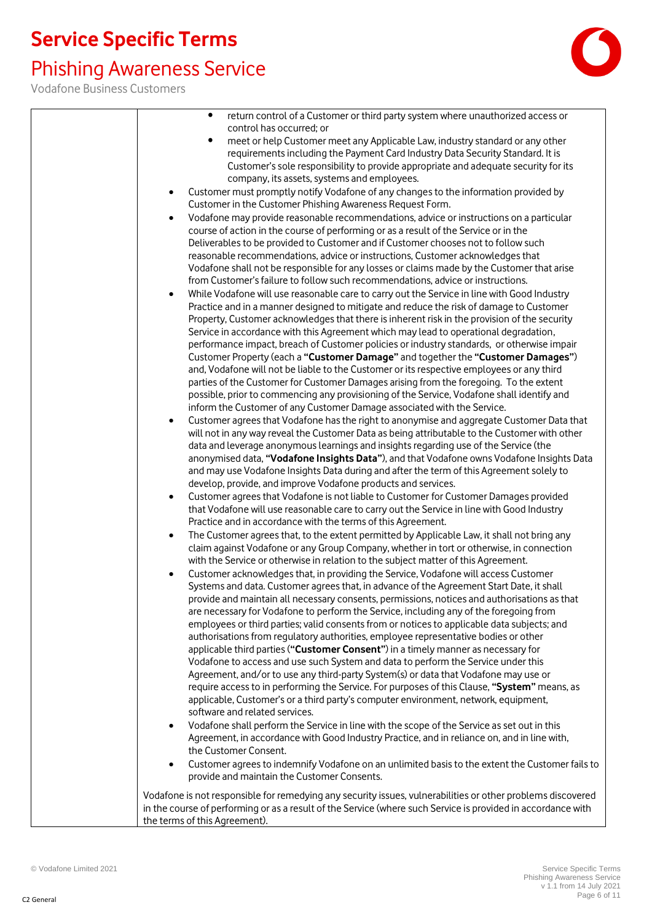### Phishing Awareness Service

| $\bullet$<br>return control of a Customer or third party system where unauthorized access or                                                                          |
|-----------------------------------------------------------------------------------------------------------------------------------------------------------------------|
| control has occurred; or                                                                                                                                              |
| meet or help Customer meet any Applicable Law, industry standard or any other<br>$\bullet$                                                                            |
| requirements including the Payment Card Industry Data Security Standard. It is                                                                                        |
| Customer's sole responsibility to provide appropriate and adequate security for its                                                                                   |
| company, its assets, systems and employees.                                                                                                                           |
| Customer must promptly notify Vodafone of any changes to the information provided by<br>$\bullet$                                                                     |
| Customer in the Customer Phishing Awareness Request Form.                                                                                                             |
| Vodafone may provide reasonable recommendations, advice or instructions on a particular<br>$\bullet$                                                                  |
| course of action in the course of performing or as a result of the Service or in the                                                                                  |
| Deliverables to be provided to Customer and if Customer chooses not to follow such                                                                                    |
| reasonable recommendations, advice or instructions, Customer acknowledges that                                                                                        |
| Vodafone shall not be responsible for any losses or claims made by the Customer that arise                                                                            |
| from Customer's failure to follow such recommendations, advice or instructions.                                                                                       |
| While Vodafone will use reasonable care to carry out the Service in line with Good Industry<br>٠                                                                      |
| Practice and in a manner designed to mitigate and reduce the risk of damage to Customer                                                                               |
| Property, Customer acknowledges that there is inherent risk in the provision of the security                                                                          |
| Service in accordance with this Agreement which may lead to operational degradation,                                                                                  |
| performance impact, breach of Customer policies or industry standards, or otherwise impair                                                                            |
| Customer Property (each a "Customer Damage" and together the "Customer Damages")                                                                                      |
| and, Vodafone will not be liable to the Customer or its respective employees or any third                                                                             |
| parties of the Customer for Customer Damages arising from the foregoing. To the extent                                                                                |
| possible, prior to commencing any provisioning of the Service, Vodafone shall identify and<br>inform the Customer of any Customer Damage associated with the Service. |
| Customer agrees that Vodafone has the right to anonymise and aggregate Customer Data that                                                                             |
| $\bullet$<br>will not in any way reveal the Customer Data as being attributable to the Customer with other                                                            |
| data and leverage anonymous learnings and insights regarding use of the Service (the                                                                                  |
| anonymised data, "Vodafone Insights Data"), and that Vodafone owns Vodafone Insights Data                                                                             |
| and may use Vodafone Insights Data during and after the term of this Agreement solely to                                                                              |
| develop, provide, and improve Vodafone products and services.                                                                                                         |
| Customer agrees that Vodafone is not liable to Customer for Customer Damages provided<br>$\bullet$                                                                    |
| that Vodafone will use reasonable care to carry out the Service in line with Good Industry                                                                            |
| Practice and in accordance with the terms of this Agreement.                                                                                                          |
| The Customer agrees that, to the extent permitted by Applicable Law, it shall not bring any<br>$\bullet$                                                              |
| claim against Vodafone or any Group Company, whether in tort or otherwise, in connection                                                                              |
| with the Service or otherwise in relation to the subject matter of this Agreement.                                                                                    |
| Customer acknowledges that, in providing the Service, Vodafone will access Customer<br>$\bullet$                                                                      |
| Systems and data. Customer agrees that, in advance of the Agreement Start Date, it shall                                                                              |
| provide and maintain all necessary consents, permissions, notices and authorisations as that                                                                          |
| are necessary for Vodafone to perform the Service, including any of the foregoing from                                                                                |
| employees or third parties; valid consents from or notices to applicable data subjects; and                                                                           |
| authorisations from regulatory authorities, employee representative bodies or other                                                                                   |
| applicable third parties ("Customer Consent") in a timely manner as necessary for                                                                                     |
| Vodafone to access and use such System and data to perform the Service under this                                                                                     |
| Agreement, and/or to use any third-party System(s) or data that Vodafone may use or                                                                                   |
| require access to in performing the Service. For purposes of this Clause, "System" means, as                                                                          |
| applicable, Customer's or a third party's computer environment, network, equipment,                                                                                   |
| software and related services.                                                                                                                                        |
| Vodafone shall perform the Service in line with the scope of the Service as set out in this<br>٠                                                                      |
| Agreement, in accordance with Good Industry Practice, and in reliance on, and in line with,                                                                           |
| the Customer Consent.                                                                                                                                                 |
| Customer agrees to indemnify Vodafone on an unlimited basis to the extent the Customer fails to<br>$\bullet$                                                          |
| provide and maintain the Customer Consents.                                                                                                                           |
| Vodafone is not responsible for remedying any security issues, vulnerabilities or other problems discovered                                                           |
| in the course of performing or as a result of the Service (where such Service is provided in accordance with                                                          |
| the terms of this Agreement).                                                                                                                                         |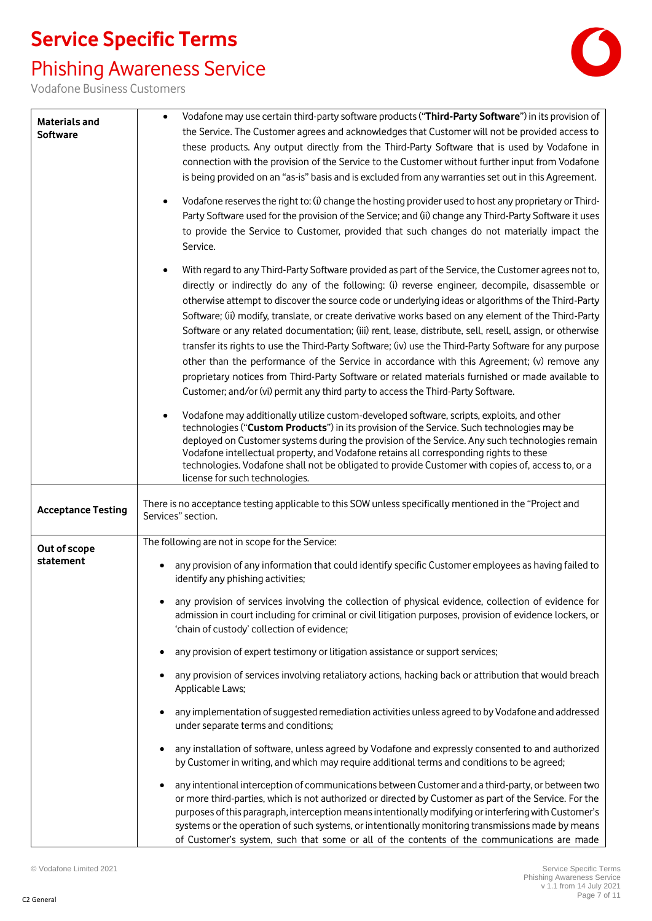#### Phishing Awareness Service



| <b>Materials and</b>      | Vodafone may use certain third-party software products ("Third-Party Software") in its provision of                                                                                                                                                                                                                                                                                                                                                                                                                                                                                                                                                                                                                                                                                                                                                                                                                                              |
|---------------------------|--------------------------------------------------------------------------------------------------------------------------------------------------------------------------------------------------------------------------------------------------------------------------------------------------------------------------------------------------------------------------------------------------------------------------------------------------------------------------------------------------------------------------------------------------------------------------------------------------------------------------------------------------------------------------------------------------------------------------------------------------------------------------------------------------------------------------------------------------------------------------------------------------------------------------------------------------|
| <b>Software</b>           | the Service. The Customer agrees and acknowledges that Customer will not be provided access to<br>these products. Any output directly from the Third-Party Software that is used by Vodafone in                                                                                                                                                                                                                                                                                                                                                                                                                                                                                                                                                                                                                                                                                                                                                  |
|                           | connection with the provision of the Service to the Customer without further input from Vodafone                                                                                                                                                                                                                                                                                                                                                                                                                                                                                                                                                                                                                                                                                                                                                                                                                                                 |
|                           | is being provided on an "as-is" basis and is excluded from any warranties set out in this Agreement.                                                                                                                                                                                                                                                                                                                                                                                                                                                                                                                                                                                                                                                                                                                                                                                                                                             |
|                           | Vodafone reserves the right to: (i) change the hosting provider used to host any proprietary or Third-<br>$\bullet$<br>Party Software used for the provision of the Service; and (ii) change any Third-Party Software it uses<br>to provide the Service to Customer, provided that such changes do not materially impact the<br>Service.                                                                                                                                                                                                                                                                                                                                                                                                                                                                                                                                                                                                         |
|                           | With regard to any Third-Party Software provided as part of the Service, the Customer agrees not to,<br>$\bullet$<br>directly or indirectly do any of the following: (i) reverse engineer, decompile, disassemble or<br>otherwise attempt to discover the source code or underlying ideas or algorithms of the Third-Party<br>Software; (ii) modify, translate, or create derivative works based on any element of the Third-Party<br>Software or any related documentation; (iii) rent, lease, distribute, sell, resell, assign, or otherwise<br>transfer its rights to use the Third-Party Software; (iv) use the Third-Party Software for any purpose<br>other than the performance of the Service in accordance with this Agreement; (v) remove any<br>proprietary notices from Third-Party Software or related materials furnished or made available to<br>Customer; and/or (vi) permit any third party to access the Third-Party Software. |
|                           | Vodafone may additionally utilize custom-developed software, scripts, exploits, and other<br>technologies ("Custom Products") in its provision of the Service. Such technologies may be<br>deployed on Customer systems during the provision of the Service. Any such technologies remain<br>Vodafone intellectual property, and Vodafone retains all corresponding rights to these<br>technologies. Vodafone shall not be obligated to provide Customer with copies of, access to, or a<br>license for such technologies.                                                                                                                                                                                                                                                                                                                                                                                                                       |
| <b>Acceptance Testing</b> | There is no acceptance testing applicable to this SOW unless specifically mentioned in the "Project and<br>Services" section.                                                                                                                                                                                                                                                                                                                                                                                                                                                                                                                                                                                                                                                                                                                                                                                                                    |
| Out of scope              | The following are not in scope for the Service:                                                                                                                                                                                                                                                                                                                                                                                                                                                                                                                                                                                                                                                                                                                                                                                                                                                                                                  |
| statement                 | any provision of any information that could identify specific Customer employees as having failed to<br>identify any phishing activities;                                                                                                                                                                                                                                                                                                                                                                                                                                                                                                                                                                                                                                                                                                                                                                                                        |
|                           | any provision of services involving the collection of physical evidence, collection of evidence for<br>admission in court including for criminal or civil litigation purposes, provision of evidence lockers, or<br>'chain of custody' collection of evidence;                                                                                                                                                                                                                                                                                                                                                                                                                                                                                                                                                                                                                                                                                   |
|                           | any provision of expert testimony or litigation assistance or support services;                                                                                                                                                                                                                                                                                                                                                                                                                                                                                                                                                                                                                                                                                                                                                                                                                                                                  |
|                           | any provision of services involving retaliatory actions, hacking back or attribution that would breach<br>Applicable Laws;                                                                                                                                                                                                                                                                                                                                                                                                                                                                                                                                                                                                                                                                                                                                                                                                                       |
|                           | any implementation of suggested remediation activities unless agreed to by Vodafone and addressed<br>under separate terms and conditions;                                                                                                                                                                                                                                                                                                                                                                                                                                                                                                                                                                                                                                                                                                                                                                                                        |
|                           | any installation of software, unless agreed by Vodafone and expressly consented to and authorized<br>by Customer in writing, and which may require additional terms and conditions to be agreed;                                                                                                                                                                                                                                                                                                                                                                                                                                                                                                                                                                                                                                                                                                                                                 |
|                           | any intentional interception of communications between Customer and a third-party, or between two<br>or more third-parties, which is not authorized or directed by Customer as part of the Service. For the<br>purposes of this paragraph, interception means intentionally modifying or interfering with Customer's<br>systems or the operation of such systems, or intentionally monitoring transmissions made by means<br>of Customer's system, such that some or all of the contents of the communications are made                                                                                                                                                                                                                                                                                                                                                                                                                          |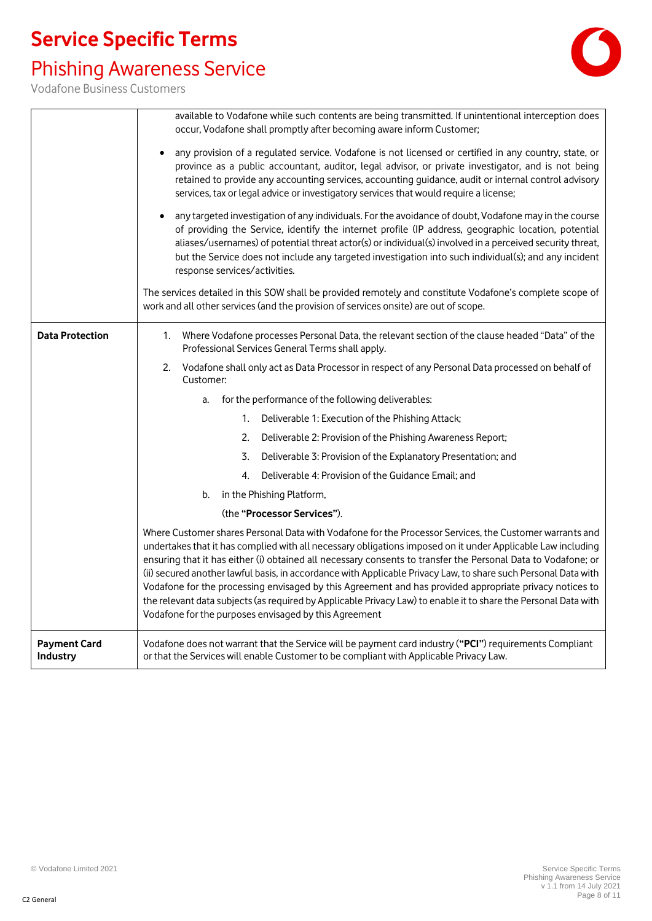### Phishing Awareness Service



|                                 | available to Vodafone while such contents are being transmitted. If unintentional interception does                                                                                                                                                                                                                                                                                                                                                                                                                                                                                                                                                                                                                                              |  |  |
|---------------------------------|--------------------------------------------------------------------------------------------------------------------------------------------------------------------------------------------------------------------------------------------------------------------------------------------------------------------------------------------------------------------------------------------------------------------------------------------------------------------------------------------------------------------------------------------------------------------------------------------------------------------------------------------------------------------------------------------------------------------------------------------------|--|--|
|                                 | occur, Vodafone shall promptly after becoming aware inform Customer;                                                                                                                                                                                                                                                                                                                                                                                                                                                                                                                                                                                                                                                                             |  |  |
|                                 | any provision of a regulated service. Vodafone is not licensed or certified in any country, state, or<br>province as a public accountant, auditor, legal advisor, or private investigator, and is not being                                                                                                                                                                                                                                                                                                                                                                                                                                                                                                                                      |  |  |
|                                 | retained to provide any accounting services, accounting guidance, audit or internal control advisory                                                                                                                                                                                                                                                                                                                                                                                                                                                                                                                                                                                                                                             |  |  |
|                                 | services, tax or legal advice or investigatory services that would require a license;                                                                                                                                                                                                                                                                                                                                                                                                                                                                                                                                                                                                                                                            |  |  |
|                                 | any targeted investigation of any individuals. For the avoidance of doubt, Vodafone may in the course<br>of providing the Service, identify the internet profile (IP address, geographic location, potential<br>aliases/usernames) of potential threat actor(s) or individual(s) involved in a perceived security threat,<br>but the Service does not include any targeted investigation into such individual(s); and any incident<br>response services/activities.                                                                                                                                                                                                                                                                              |  |  |
|                                 | The services detailed in this SOW shall be provided remotely and constitute Vodafone's complete scope of<br>work and all other services (and the provision of services onsite) are out of scope.                                                                                                                                                                                                                                                                                                                                                                                                                                                                                                                                                 |  |  |
| <b>Data Protection</b>          | Where Vodafone processes Personal Data, the relevant section of the clause headed "Data" of the<br>1.<br>Professional Services General Terms shall apply.                                                                                                                                                                                                                                                                                                                                                                                                                                                                                                                                                                                        |  |  |
|                                 | Vodafone shall only act as Data Processor in respect of any Personal Data processed on behalf of<br>2.<br>Customer:                                                                                                                                                                                                                                                                                                                                                                                                                                                                                                                                                                                                                              |  |  |
|                                 | for the performance of the following deliverables:<br>a.                                                                                                                                                                                                                                                                                                                                                                                                                                                                                                                                                                                                                                                                                         |  |  |
|                                 | Deliverable 1: Execution of the Phishing Attack;<br>1.                                                                                                                                                                                                                                                                                                                                                                                                                                                                                                                                                                                                                                                                                           |  |  |
|                                 | 2.<br>Deliverable 2: Provision of the Phishing Awareness Report;                                                                                                                                                                                                                                                                                                                                                                                                                                                                                                                                                                                                                                                                                 |  |  |
|                                 | Deliverable 3: Provision of the Explanatory Presentation; and<br>3.                                                                                                                                                                                                                                                                                                                                                                                                                                                                                                                                                                                                                                                                              |  |  |
|                                 | Deliverable 4: Provision of the Guidance Email; and<br>4.                                                                                                                                                                                                                                                                                                                                                                                                                                                                                                                                                                                                                                                                                        |  |  |
|                                 | in the Phishing Platform,<br>b.                                                                                                                                                                                                                                                                                                                                                                                                                                                                                                                                                                                                                                                                                                                  |  |  |
|                                 | (the "Processor Services").                                                                                                                                                                                                                                                                                                                                                                                                                                                                                                                                                                                                                                                                                                                      |  |  |
|                                 | Where Customer shares Personal Data with Vodafone for the Processor Services, the Customer warrants and<br>undertakes that it has complied with all necessary obligations imposed on it under Applicable Law including<br>ensuring that it has either (i) obtained all necessary consents to transfer the Personal Data to Vodafone; or<br>(ii) secured another lawful basis, in accordance with Applicable Privacy Law, to share such Personal Data with<br>Vodafone for the processing envisaged by this Agreement and has provided appropriate privacy notices to<br>the relevant data subjects (as required by Applicable Privacy Law) to enable it to share the Personal Data with<br>Vodafone for the purposes envisaged by this Agreement |  |  |
| <b>Payment Card</b><br>Industry | Vodafone does not warrant that the Service will be payment card industry ("PCI") requirements Compliant<br>or that the Services will enable Customer to be compliant with Applicable Privacy Law.                                                                                                                                                                                                                                                                                                                                                                                                                                                                                                                                                |  |  |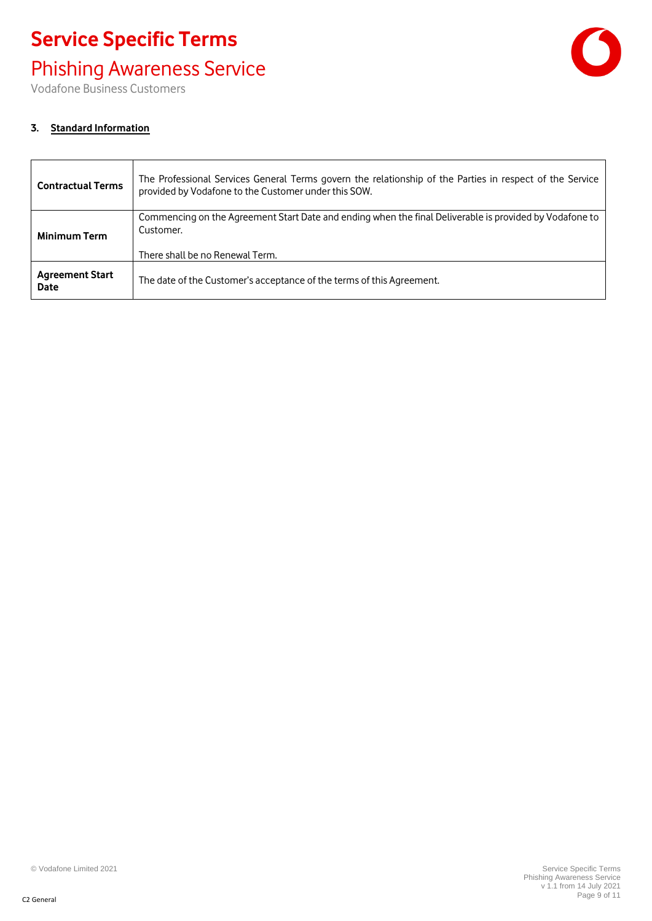### Phishing Awareness Service

Vodafone Business Customers



#### **3. Standard Information**

| <b>Contractual Terms</b>       | The Professional Services General Terms govern the relationship of the Parties in respect of the Service<br>provided by Vodafone to the Customer under this SOW. |
|--------------------------------|------------------------------------------------------------------------------------------------------------------------------------------------------------------|
| <b>Minimum Term</b>            | Commencing on the Agreement Start Date and ending when the final Deliverable is provided by Vodafone to<br>Customer.                                             |
|                                | There shall be no Renewal Term.                                                                                                                                  |
| <b>Agreement Start</b><br>Date | The date of the Customer's acceptance of the terms of this Agreement.                                                                                            |

© Vodafone Limited 2021 Service Specific Terms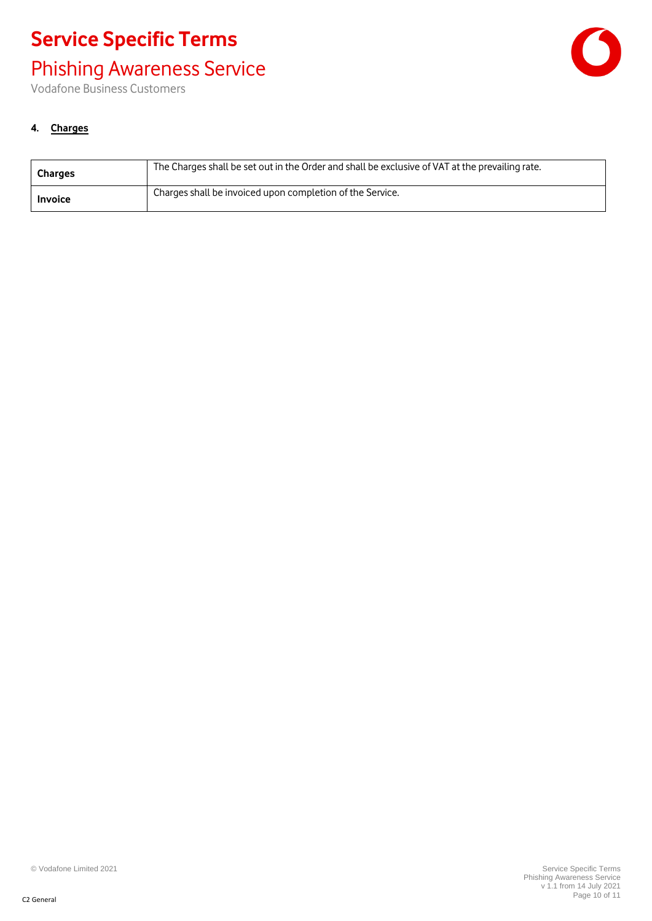### Phishing Awareness Service

Vodafone Business Customers



#### **4. Charges**

| <b>Charges</b> | The Charges shall be set out in the Order and shall be exclusive of VAT at the prevailing rate. |
|----------------|-------------------------------------------------------------------------------------------------|
| <b>Invoice</b> | Charges shall be invoiced upon completion of the Service.                                       |

© Vodafone Limited 2021 Service Specific Terms